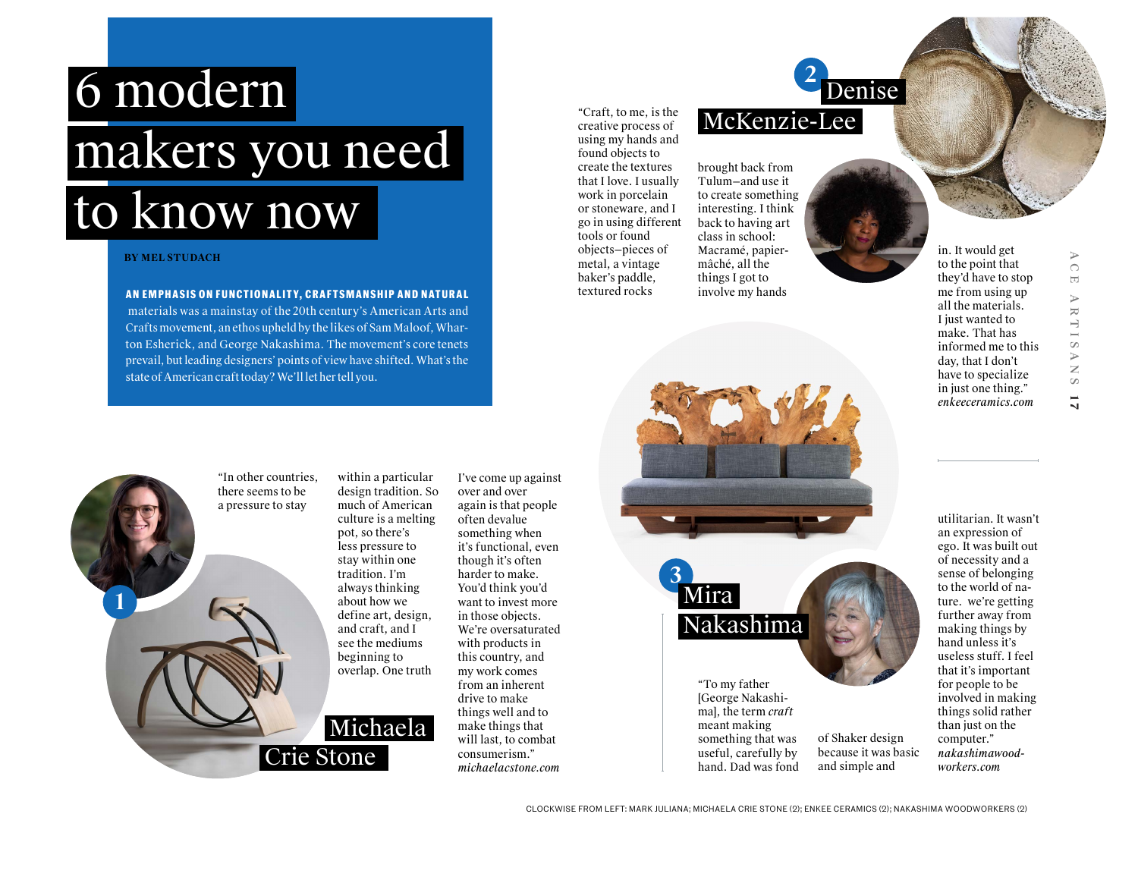## 6 modern makers you need to know now

## **BY MEL STUDACH**

## **AN EMPHASIS ON FUNCTIONALITY, CRAFTSMANSHIP AND NATURAL**

 materials was a mainstay of the 20th century's American Arts and Crafts movement, an ethos upheld by the likes of Sam Maloof, Wharton Esherick, and George Nakashima. The movement's core tenets prevail, but leading designers' points of view have shifted. What's the state of American craft today? We'll let her tell you.

"Craft, to me, is the creative process of using my hands and found objects to create the textures that I love. I usually work in porcelain or stoneware, and I go in using different tools or found objects—pieces of metal, a vintage baker's paddle, textured rocks

Tulum—and use it to create something interesting. I think back to having art class in school: Macramé, papiermâché, all the things I got to involve my hands

brought back from

McKenzie-Lee

**2**

Denise

in. It would get to the point that they'd have to stop me from using up all the materials. I just wanted to make. That has informed me to this day, that I don't have to specialize in just one thing." *enkeeceramics.com*

ACE ARTISANS

ARTISA

 $\triangleright$  $\bigcirc$  $\overline{\Xi}$ 

**1 7**

 $\overline{N}$ 



Crie Stone

I've come up against

over and over again is that people often devalue something when it's functional, even though it's often harder to make. You'd think you'd want to invest more in those objects. We're oversaturated with products in this country, and my work comes from an inherent drive to make things well and to make things that will last, to combat consumerism." *michaelacstone.com*



"To my father [George Nakashima], the term *craft* meant making something that was useful, carefully by hand. Dad was fond

of Shaker design because it was basic and simple and

utilitarian. It wasn't an expression of ego. It was built out of necessity and a sense of belonging to the world of nature. we're getting further away from making things by hand unless it's useless stuff. I feel that it's important for people to be involved in making things solid rather than just on the computer." *nakashimawoodworkers.com*

CLOCKWISE FROM LEFT: MARK JULIANA; MICHAELA CRIE STONE (2); ENKEE CERAMICS (2); NAKASHIMA WOODWORKERS (2)